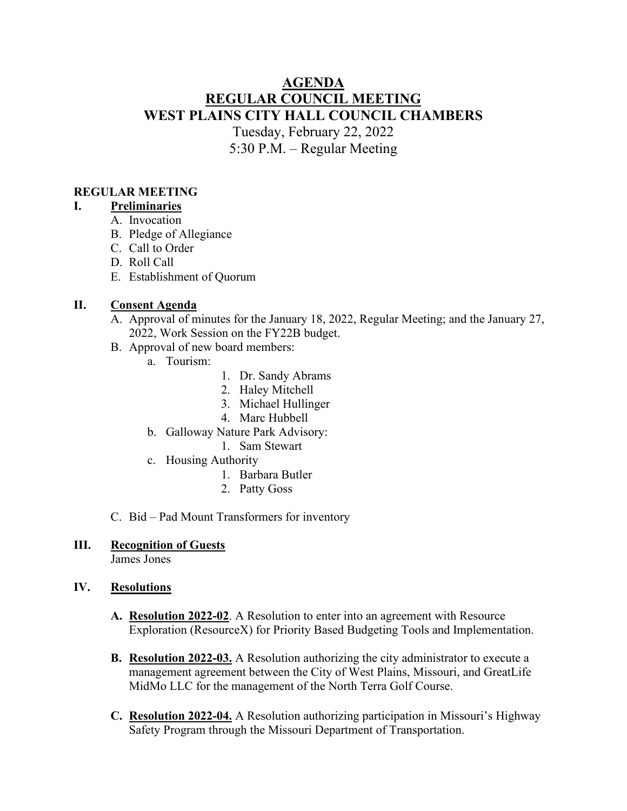# **AGENDA REGULAR COUNCIL MEETING WEST PLAINS CITY HALL COUNCIL CHAMBERS** Tuesday, February 22, 2022 5:30 P.M. – Regular Meeting

### **REGULAR MEETING**

### **I. Preliminaries**

- A. Invocation
- B. Pledge of Allegiance
- C. Call to Order
- D. Roll Call
- E. Establishment of Quorum

#### **II. Consent Agenda**

- A. Approval of minutes for the January 18, 2022, Regular Meeting; and the January 27, 2022, Work Session on the FY22B budget.
- B. Approval of new board members:
	- a. Tourism:
- 1. Dr. Sandy Abrams
- 2. Haley Mitchell
- 3. Michael Hullinger
- 4. Marc Hubbell
- b. Galloway Nature Park Advisory:
	- 1. Sam Stewart
- c. Housing Authority
	- 1. Barbara Butler
	- 2. Patty Goss
- C. Bid Pad Mount Transformers for inventory

### **III. Recognition of Guests**

James Jones

### **IV. Resolutions**

- **A. Resolution 2022-02**. A Resolution to enter into an agreement with Resource Exploration (ResourceX) for Priority Based Budgeting Tools and Implementation.
- **B. Resolution 2022-03.** A Resolution authorizing the city administrator to execute a management agreement between the City of West Plains, Missouri, and GreatLife MidMo LLC for the management of the North Terra Golf Course.
- **C. Resolution 2022-04.** A Resolution authorizing participation in Missouri's Highway Safety Program through the Missouri Department of Transportation.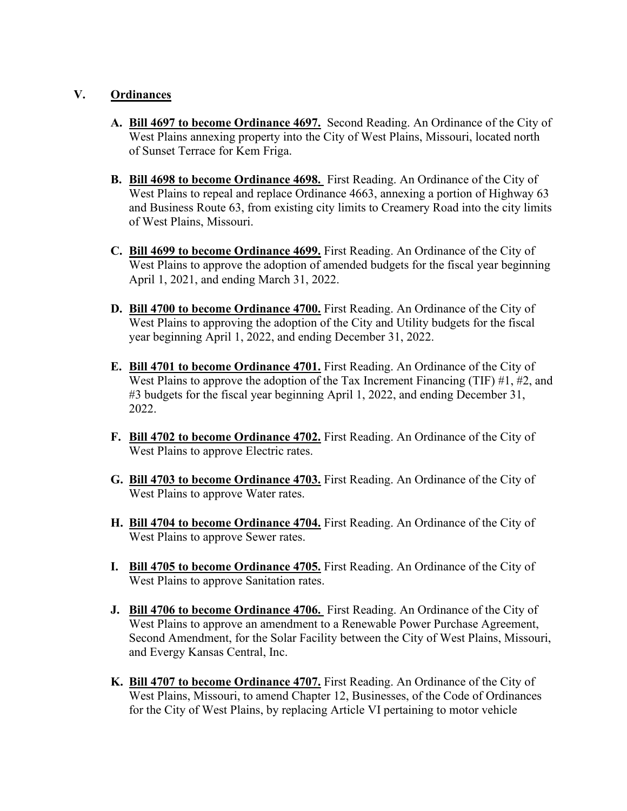#### **V. Ordinances**

- **A. Bill 4697 to become Ordinance 4697.** Second Reading. An Ordinance of the City of West Plains annexing property into the City of West Plains, Missouri, located north of Sunset Terrace for Kem Friga.
- **B. Bill 4698 to become Ordinance 4698.** First Reading. An Ordinance of the City of West Plains to repeal and replace Ordinance 4663, annexing a portion of Highway 63 and Business Route 63, from existing city limits to Creamery Road into the city limits of West Plains, Missouri.
- **C. Bill 4699 to become Ordinance 4699.** First Reading. An Ordinance of the City of West Plains to approve the adoption of amended budgets for the fiscal year beginning April 1, 2021, and ending March 31, 2022.
- **D. Bill 4700 to become Ordinance 4700.** First Reading. An Ordinance of the City of West Plains to approving the adoption of the City and Utility budgets for the fiscal year beginning April 1, 2022, and ending December 31, 2022.
- **E. Bill 4701 to become Ordinance 4701.** First Reading. An Ordinance of the City of West Plains to approve the adoption of the Tax Increment Financing (TIF) #1, #2, and #3 budgets for the fiscal year beginning April 1, 2022, and ending December 31, 2022.
- **F. Bill 4702 to become Ordinance 4702.** First Reading. An Ordinance of the City of West Plains to approve Electric rates.
- **G. Bill 4703 to become Ordinance 4703.** First Reading. An Ordinance of the City of West Plains to approve Water rates.
- **H. Bill 4704 to become Ordinance 4704.** First Reading. An Ordinance of the City of West Plains to approve Sewer rates.
- **I. Bill 4705 to become Ordinance 4705.** First Reading. An Ordinance of the City of West Plains to approve Sanitation rates.
- **J. Bill 4706 to become Ordinance 4706.** First Reading. An Ordinance of the City of West Plains to approve an amendment to a Renewable Power Purchase Agreement, Second Amendment, for the Solar Facility between the City of West Plains, Missouri, and Evergy Kansas Central, Inc.
- **K. Bill 4707 to become Ordinance 4707.** First Reading. An Ordinance of the City of West Plains, Missouri, to amend Chapter 12, Businesses, of the Code of Ordinances for the City of West Plains, by replacing Article VI pertaining to motor vehicle